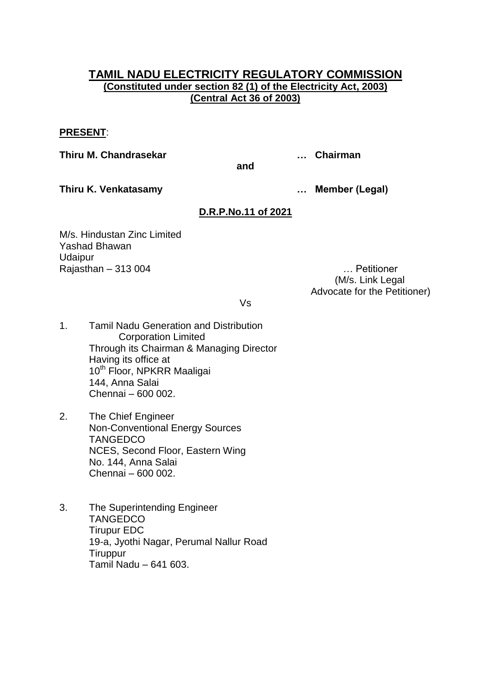# **TAMIL NADU ELECTRICITY REGULATORY COMMISSION (Constituted under section 82 (1) of the Electricity Act, 2003) (Central Act 36 of 2003)**

## **PRESENT**:

**Thiru M. Chandrasekar … Chairman**

**and**

**Thiru K. Venkatasamy … Member (Legal)**

# **D.R.P.No.11 of 2021**

M/s. Hindustan Zinc Limited Yashad Bhawan **Udaipur** Rajasthan – 313 004 … Petitioner

 (M/s. Link Legal Advocate for the Petitioner)

Vs

- 1. Tamil Nadu Generation and Distribution Corporation Limited Through its Chairman & Managing Director Having its office at 10<sup>th</sup> Floor, NPKRR Maaligai 144, Anna Salai Chennai – 600 002.
- 2. The Chief Engineer Non-Conventional Energy Sources **TANGEDCO** NCES, Second Floor, Eastern Wing No. 144, Anna Salai Chennai – 600 002.
- 3. The Superintending Engineer **TANGEDCO** Tirupur EDC 19-a, Jyothi Nagar, Perumal Nallur Road **Tiruppur** Tamil Nadu – 641 603.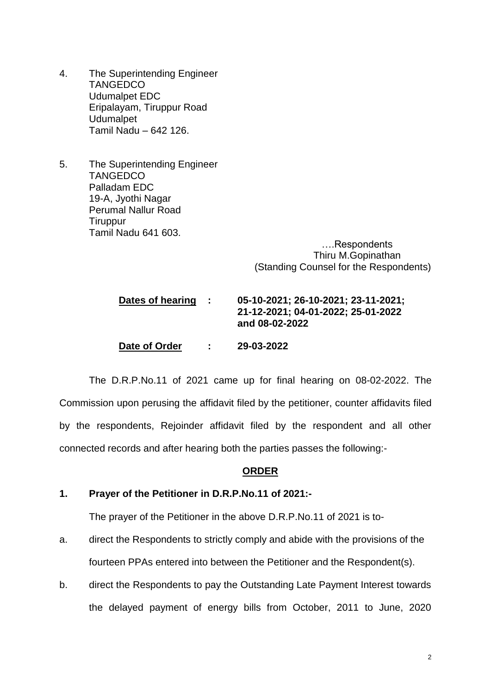- 4. The Superintending Engineer **TANGEDCO** Udumalpet EDC Eripalayam, Tiruppur Road Udumalpet Tamil Nadu – 642 126.
- 5. The Superintending Engineer **TANGEDCO** Palladam EDC 19-A, Jyothi Nagar Perumal Nallur Road **Tiruppur** Tamil Nadu 641 603.

 ….Respondents Thiru M.Gopinathan (Standing Counsel for the Respondents)

# **Dates of hearing : 05-10-2021; 26-10-2021; 23-11-2021; 21-12-2021; 04-01-2022; 25-01-2022 and 08-02-2022**

**Date of Order : 29-03-2022**

The D.R.P.No.11 of 2021 came up for final hearing on 08-02-2022. The Commission upon perusing the affidavit filed by the petitioner, counter affidavits filed by the respondents, Rejoinder affidavit filed by the respondent and all other connected records and after hearing both the parties passes the following:-

#### **ORDER**

## **1. Prayer of the Petitioner in D.R.P.No.11 of 2021:-**

The prayer of the Petitioner in the above D.R.P.No.11 of 2021 is to-

- a. direct the Respondents to strictly comply and abide with the provisions of the fourteen PPAs entered into between the Petitioner and the Respondent(s).
- b. direct the Respondents to pay the Outstanding Late Payment Interest towards the delayed payment of energy bills from October, 2011 to June, 2020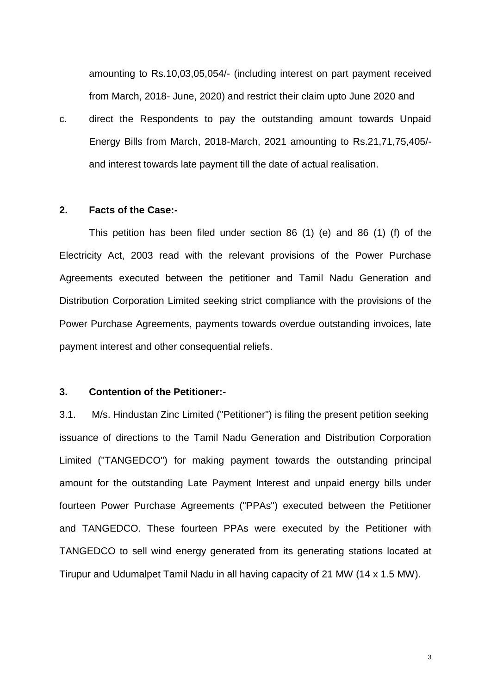amounting to Rs.10,03,05,054/- (including interest on part payment received from March, 2018- June, 2020) and restrict their claim upto June 2020 and

c. direct the Respondents to pay the outstanding amount towards Unpaid Energy Bills from March, 2018-March, 2021 amounting to Rs.21,71,75,405/ and interest towards late payment till the date of actual realisation.

#### **2. Facts of the Case:-**

This petition has been filed under section 86 (1) (e) and 86 (1) (f) of the Electricity Act, 2003 read with the relevant provisions of the Power Purchase Agreements executed between the petitioner and Tamil Nadu Generation and Distribution Corporation Limited seeking strict compliance with the provisions of the Power Purchase Agreements, payments towards overdue outstanding invoices, late payment interest and other consequential reliefs.

#### **3. Contention of the Petitioner:-**

3.1. M/s. Hindustan Zinc Limited ("Petitioner") is filing the present petition seeking issuance of directions to the Tamil Nadu Generation and Distribution Corporation Limited ("TANGEDCO") for making payment towards the outstanding principal amount for the outstanding Late Payment Interest and unpaid energy bills under fourteen Power Purchase Agreements ("PPAs") executed between the Petitioner and TANGEDCO. These fourteen PPAs were executed by the Petitioner with TANGEDCO to sell wind energy generated from its generating stations located at Tirupur and Udumalpet Tamil Nadu in all having capacity of 21 MW (14 x 1.5 MW).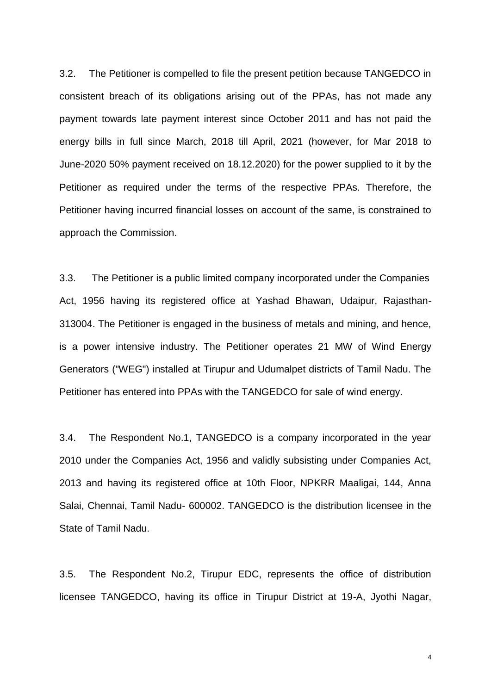3.2. The Petitioner is compelled to file the present petition because TANGEDCO in consistent breach of its obligations arising out of the PPAs, has not made any payment towards late payment interest since October 2011 and has not paid the energy bills in full since March, 2018 till April, 2021 (however, for Mar 2018 to June-2020 50% payment received on 18.12.2020) for the power supplied to it by the Petitioner as required under the terms of the respective PPAs. Therefore, the Petitioner having incurred financial losses on account of the same, is constrained to approach the Commission.

3.3. The Petitioner is a public limited company incorporated under the Companies Act, 1956 having its registered office at Yashad Bhawan, Udaipur, Rajasthan-313004. The Petitioner is engaged in the business of metals and mining, and hence, is a power intensive industry. The Petitioner operates 21 MW of Wind Energy Generators ("WEG") installed at Tirupur and Udumalpet districts of Tamil Nadu. The Petitioner has entered into PPAs with the TANGEDCO for sale of wind energy.

3.4. The Respondent No.1, TANGEDCO is a company incorporated in the year 2010 under the Companies Act, 1956 and validly subsisting under Companies Act, 2013 and having its registered office at 10th Floor, NPKRR Maaligai, 144, Anna Salai, Chennai, Tamil Nadu- 600002. TANGEDCO is the distribution licensee in the State of Tamil Nadu.

3.5. The Respondent No.2, Tirupur EDC, represents the office of distribution licensee TANGEDCO, having its office in Tirupur District at 19-A, Jyothi Nagar,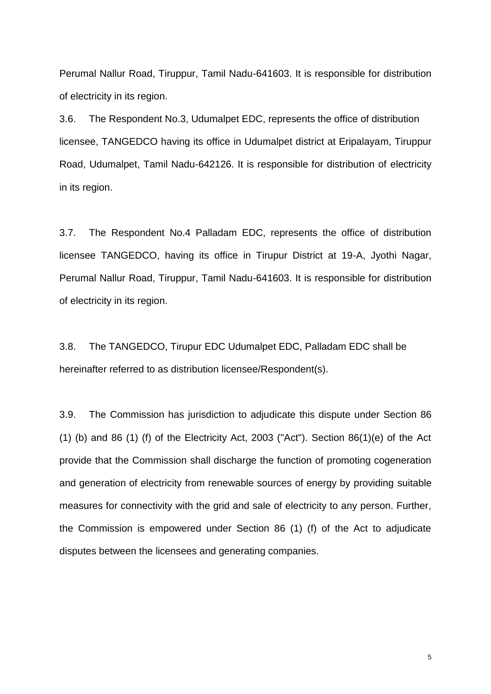Perumal Nallur Road, Tiruppur, Tamil Nadu-641603. It is responsible for distribution of electricity in its region.

3.6. The Respondent No.3, Udumalpet EDC, represents the office of distribution licensee, TANGEDCO having its office in Udumalpet district at Eripalayam, Tiruppur Road, Udumalpet, Tamil Nadu-642126. It is responsible for distribution of electricity in its region.

3.7. The Respondent No.4 Palladam EDC, represents the office of distribution licensee TANGEDCO, having its office in Tirupur District at 19-A, Jyothi Nagar, Perumal Nallur Road, Tiruppur, Tamil Nadu-641603. It is responsible for distribution of electricity in its region.

3.8. The TANGEDCO, Tirupur EDC Udumalpet EDC, Palladam EDC shall be hereinafter referred to as distribution licensee/Respondent(s).

3.9. The Commission has jurisdiction to adjudicate this dispute under Section 86 (1) (b) and 86 (1) (f) of the Electricity Act, 2003 ("Act"). Section  $86(1)(e)$  of the Act provide that the Commission shall discharge the function of promoting cogeneration and generation of electricity from renewable sources of energy by providing suitable measures for connectivity with the grid and sale of electricity to any person. Further, the Commission is empowered under Section 86 (1) (f) of the Act to adjudicate disputes between the licensees and generating companies.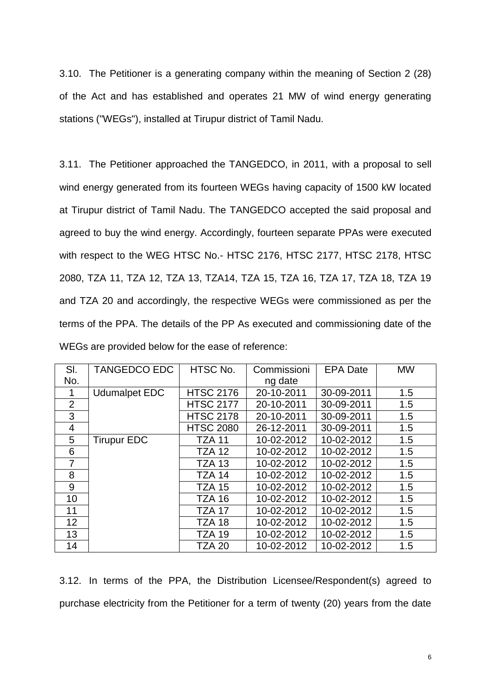3.10. The Petitioner is a generating company within the meaning of Section 2 (28) of the Act and has established and operates 21 MW of wind energy generating stations ("WEGs"), installed at Tirupur district of Tamil Nadu.

3.11. The Petitioner approached the TANGEDCO, in 2011, with a proposal to sell wind energy generated from its fourteen WEGs having capacity of 1500 kW located at Tirupur district of Tamil Nadu. The TANGEDCO accepted the said proposal and agreed to buy the wind energy. Accordingly, fourteen separate PPAs were executed with respect to the WEG HTSC No.- HTSC 2176, HTSC 2177, HTSC 2178, HTSC 2080, TZA 11, TZA 12, TZA 13, TZA14, TZA 15, TZA 16, TZA 17, TZA 18, TZA 19 and TZA 20 and accordingly, the respective WEGs were commissioned as per the terms of the PPA. The details of the PP As executed and commissioning date of the WEGs are provided below for the ease of reference:

| SI.            | <b>TANGEDCO EDC</b>  | HTSC No.         | Commissioni | <b>EPA Date</b> | <b>MW</b> |
|----------------|----------------------|------------------|-------------|-----------------|-----------|
| No.            |                      |                  | ng date     |                 |           |
| 1              | <b>Udumalpet EDC</b> | <b>HTSC 2176</b> | 20-10-2011  | 30-09-2011      | 1.5       |
| $\overline{2}$ |                      | <b>HTSC 2177</b> | 20-10-2011  | 30-09-2011      | 1.5       |
| 3              |                      | <b>HTSC 2178</b> | 20-10-2011  | 30-09-2011      | 1.5       |
| 4              |                      | <b>HTSC 2080</b> | 26-12-2011  | 30-09-2011      | 1.5       |
| 5              | <b>Tirupur EDC</b>   | <b>TZA 11</b>    | 10-02-2012  | 10-02-2012      | 1.5       |
| 6              |                      | <b>TZA 12</b>    | 10-02-2012  | 10-02-2012      | 1.5       |
| 7              |                      | <b>TZA 13</b>    | 10-02-2012  | 10-02-2012      | 1.5       |
| 8              |                      | <b>TZA 14</b>    | 10-02-2012  | 10-02-2012      | 1.5       |
| 9              |                      | <b>TZA 15</b>    | 10-02-2012  | 10-02-2012      | 1.5       |
| 10             |                      | <b>TZA 16</b>    | 10-02-2012  | 10-02-2012      | 1.5       |
| 11             |                      | <b>TZA 17</b>    | 10-02-2012  | 10-02-2012      | 1.5       |
| 12             |                      | TZA 18           | 10-02-2012  | 10-02-2012      | 1.5       |
| 13             |                      | <b>TZA 19</b>    | 10-02-2012  | 10-02-2012      | 1.5       |
| 14             |                      | <b>TZA 20</b>    | 10-02-2012  | 10-02-2012      | 1.5       |

3.12. In terms of the PPA, the Distribution Licensee/Respondent(s) agreed to purchase electricity from the Petitioner for a term of twenty (20) years from the date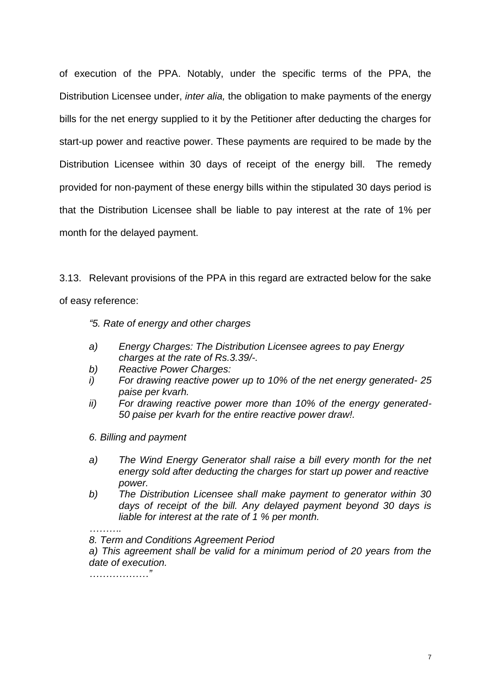of execution of the PPA. Notably, under the specific terms of the PPA, the Distribution Licensee under, *inter alia,* the obligation to make payments of the energy bills for the net energy supplied to it by the Petitioner after deducting the charges for start-up power and reactive power. These payments are required to be made by the Distribution Licensee within 30 days of receipt of the energy bill. The remedy provided for non-payment of these energy bills within the stipulated 30 days period is that the Distribution Licensee shall be liable to pay interest at the rate of 1% per month for the delayed payment.

3.13. Relevant provisions of the PPA in this regard are extracted below for the sake of easy reference:

*"5. Rate of energy and other charges* 

- *a) Energy Charges: The Distribution Licensee agrees to pay Energy charges at the rate of Rs.3.39/-.*
- *b) Reactive Power Charges:*
- *i) For drawing reactive power up to 10% of the net energy generated- 25 paise per kvarh.*
- *ii) For drawing reactive power more than 10% of the energy generated-50 paise per kvarh for the entire reactive power draw!.*
- *6. Billing and payment*
- *a) The Wind Energy Generator shall raise a bill every month for the net energy sold after deducting the charges for start up power and reactive power.*
- *b) The Distribution Licensee shall make payment to generator within 30 days of receipt of the bill. Any delayed payment beyond 30 days is liable for interest at the rate of 1 % per month.*

*………. 8. Term and Conditions Agreement Period* 

*a) This agreement shall be valid for a minimum period of 20 years from the date of execution.*

*………………"*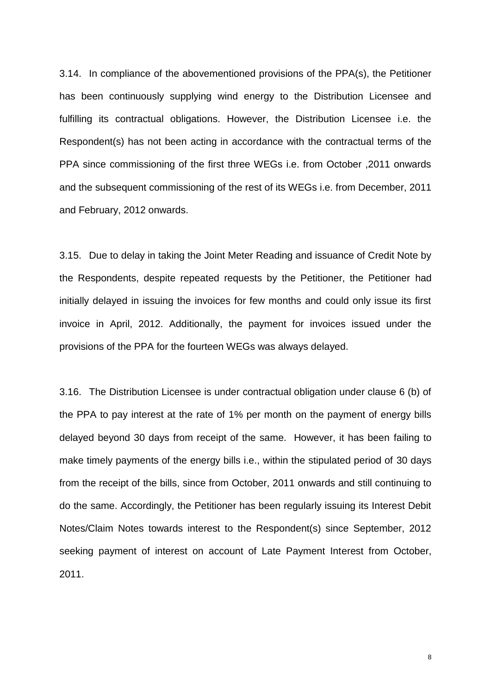3.14. In compliance of the abovementioned provisions of the PPA(s), the Petitioner has been continuously supplying wind energy to the Distribution Licensee and fulfilling its contractual obligations. However, the Distribution Licensee i.e. the Respondent(s) has not been acting in accordance with the contractual terms of the PPA since commissioning of the first three WEGs i.e. from October ,2011 onwards and the subsequent commissioning of the rest of its WEGs i.e. from December, 2011 and February, 2012 onwards.

3.15. Due to delay in taking the Joint Meter Reading and issuance of Credit Note by the Respondents, despite repeated requests by the Petitioner, the Petitioner had initially delayed in issuing the invoices for few months and could only issue its first invoice in April, 2012. Additionally, the payment for invoices issued under the provisions of the PPA for the fourteen WEGs was always delayed.

3.16. The Distribution Licensee is under contractual obligation under clause 6 (b) of the PPA to pay interest at the rate of 1% per month on the payment of energy bills delayed beyond 30 days from receipt of the same. However, it has been failing to make timely payments of the energy bills i.e., within the stipulated period of 30 days from the receipt of the bills, since from October, 2011 onwards and still continuing to do the same. Accordingly, the Petitioner has been regularly issuing its Interest Debit Notes/Claim Notes towards interest to the Respondent(s) since September, 2012 seeking payment of interest on account of Late Payment Interest from October, 2011.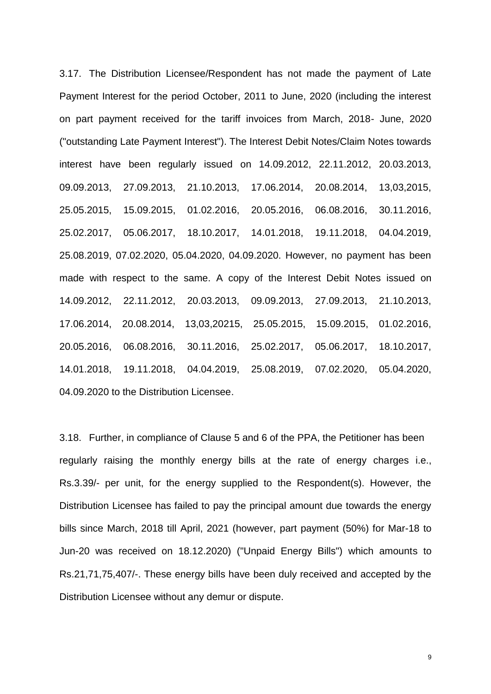3.17. The Distribution Licensee/Respondent has not made the payment of Late Payment Interest for the period October, 2011 to June, 2020 (including the interest on part payment received for the tariff invoices from March, 2018- June, 2020 ("outstanding Late Payment Interest"). The Interest Debit Notes/Claim Notes towards interest have been regularly issued on 14.09.2012, 22.11.2012, 20.03.2013, 09.09.2013, 27.09.2013, 21.10.2013, 17.06.2014, 20.08.2014, 13,03,2015, 25.05.2015, 15.09.2015, 01.02.2016, 20.05.2016, 06.08.2016, 30.11.2016, 25.02.2017, 05.06.2017, 18.10.2017, 14.01.2018, 19.11.2018, 04.04.2019, 25.08.2019, 07.02.2020, 05.04.2020, 04.09.2020. However, no payment has been made with respect to the same. A copy of the Interest Debit Notes issued on 14.09.2012, 22.11.2012, 20.03.2013, 09.09.2013, 27.09.2013, 21.10.2013, 17.06.2014, 20.08.2014, 13,03,20215, 25.05.2015, 15.09.2015, 01.02.2016, 20.05.2016, 06.08.2016, 30.11.2016, 25.02.2017, 05.06.2017, 18.10.2017, 14.01.2018, 19.11.2018, 04.04.2019, 25.08.2019, 07.02.2020, 05.04.2020, 04.09.2020 to the Distribution Licensee.

3.18. Further, in compliance of Clause 5 and 6 of the PPA, the Petitioner has been regularly raising the monthly energy bills at the rate of energy charges i.e., Rs.3.39/- per unit, for the energy supplied to the Respondent(s). However, the Distribution Licensee has failed to pay the principal amount due towards the energy bills since March, 2018 till April, 2021 (however, part payment (50%) for Mar-18 to Jun-20 was received on 18.12.2020) ("Unpaid Energy Bills") which amounts to Rs.21,71,75,407/-. These energy bills have been duly received and accepted by the Distribution Licensee without any demur or dispute.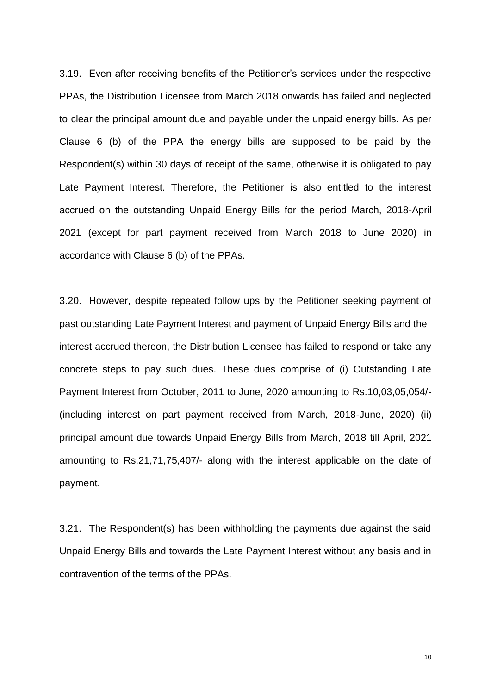3.19. Even after receiving benefits of the Petitioner's services under the respective PPAs, the Distribution Licensee from March 2018 onwards has failed and neglected to clear the principal amount due and payable under the unpaid energy bills. As per Clause 6 (b) of the PPA the energy bills are supposed to be paid by the Respondent(s) within 30 days of receipt of the same, otherwise it is obligated to pay Late Payment Interest. Therefore, the Petitioner is also entitled to the interest accrued on the outstanding Unpaid Energy Bills for the period March, 2018-April 2021 (except for part payment received from March 2018 to June 2020) in accordance with Clause 6 (b) of the PPAs.

3.20. However, despite repeated follow ups by the Petitioner seeking payment of past outstanding Late Payment Interest and payment of Unpaid Energy Bills and the interest accrued thereon, the Distribution Licensee has failed to respond or take any concrete steps to pay such dues. These dues comprise of (i) Outstanding Late Payment Interest from October, 2011 to June, 2020 amounting to Rs.10,03,05,054/- (including interest on part payment received from March, 2018-June, 2020) (ii) principal amount due towards Unpaid Energy Bills from March, 2018 till April, 2021 amounting to Rs.21,71,75,407/- along with the interest applicable on the date of payment.

3.21. The Respondent(s) has been withholding the payments due against the said Unpaid Energy Bills and towards the Late Payment Interest without any basis and in contravention of the terms of the PPAs.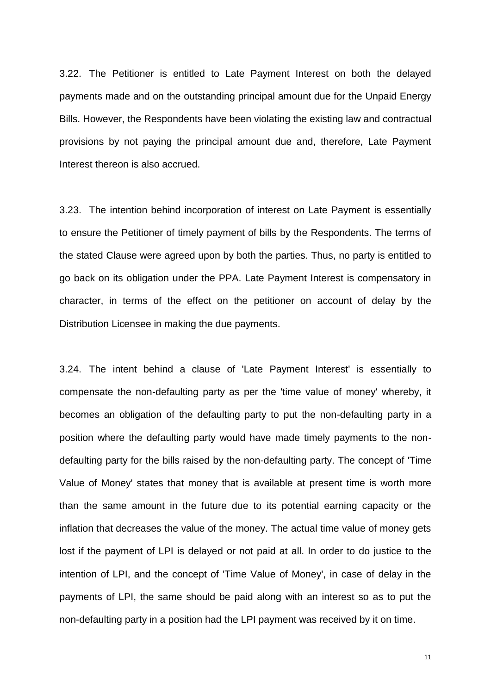3.22. The Petitioner is entitled to Late Payment Interest on both the delayed payments made and on the outstanding principal amount due for the Unpaid Energy Bills. However, the Respondents have been violating the existing law and contractual provisions by not paying the principal amount due and, therefore, Late Payment Interest thereon is also accrued.

3.23. The intention behind incorporation of interest on Late Payment is essentially to ensure the Petitioner of timely payment of bills by the Respondents. The terms of the stated Clause were agreed upon by both the parties. Thus, no party is entitled to go back on its obligation under the PPA. Late Payment Interest is compensatory in character, in terms of the effect on the petitioner on account of delay by the Distribution Licensee in making the due payments.

3.24. The intent behind a clause of 'Late Payment Interest' is essentially to compensate the non-defaulting party as per the 'time value of money' whereby, it becomes an obligation of the defaulting party to put the non-defaulting party in a position where the defaulting party would have made timely payments to the nondefaulting party for the bills raised by the non-defaulting party. The concept of 'Time Value of Money' states that money that is available at present time is worth more than the same amount in the future due to its potential earning capacity or the inflation that decreases the value of the money. The actual time value of money gets lost if the payment of LPI is delayed or not paid at all. In order to do justice to the intention of LPI, and the concept of 'Time Value of Money', in case of delay in the payments of LPI, the same should be paid along with an interest so as to put the non-defaulting party in a position had the LPI payment was received by it on time.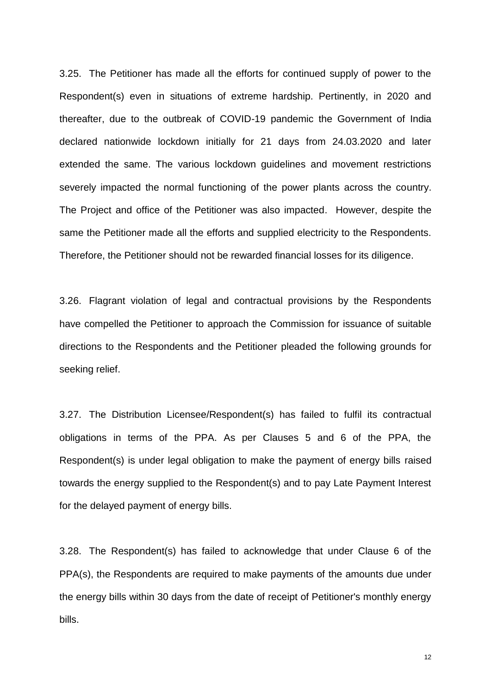3.25. The Petitioner has made all the efforts for continued supply of power to the Respondent(s) even in situations of extreme hardship. Pertinently, in 2020 and thereafter, due to the outbreak of COVID-19 pandemic the Government of India declared nationwide lockdown initially for 21 days from 24.03.2020 and later extended the same. The various lockdown guidelines and movement restrictions severely impacted the normal functioning of the power plants across the country. The Project and office of the Petitioner was also impacted. However, despite the same the Petitioner made all the efforts and supplied electricity to the Respondents. Therefore, the Petitioner should not be rewarded financial losses for its diligence.

3.26. Flagrant violation of legal and contractual provisions by the Respondents have compelled the Petitioner to approach the Commission for issuance of suitable directions to the Respondents and the Petitioner pleaded the following grounds for seeking relief.

3.27. The Distribution Licensee/Respondent(s) has failed to fulfil its contractual obligations in terms of the PPA. As per Clauses 5 and 6 of the PPA, the Respondent(s) is under legal obligation to make the payment of energy bills raised towards the energy supplied to the Respondent(s) and to pay Late Payment Interest for the delayed payment of energy bills.

3.28. The Respondent(s) has failed to acknowledge that under Clause 6 of the PPA(s), the Respondents are required to make payments of the amounts due under the energy bills within 30 days from the date of receipt of Petitioner's monthly energy bills.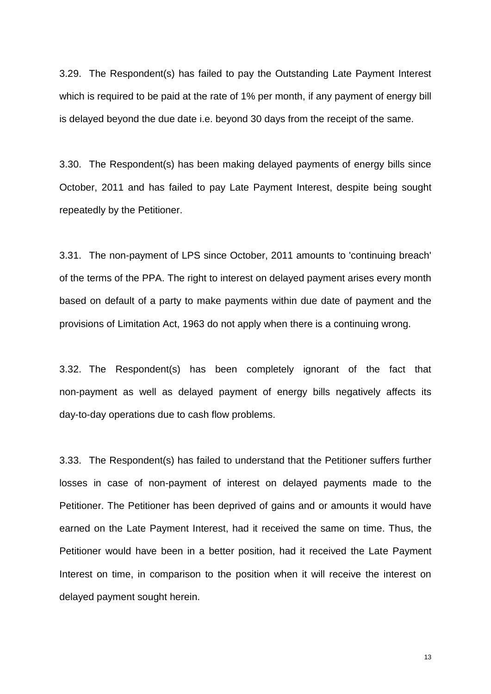3.29. The Respondent(s) has failed to pay the Outstanding Late Payment Interest which is required to be paid at the rate of 1% per month, if any payment of energy bill is delayed beyond the due date i.e. beyond 30 days from the receipt of the same.

3.30. The Respondent(s) has been making delayed payments of energy bills since October, 2011 and has failed to pay Late Payment Interest, despite being sought repeatedly by the Petitioner.

3.31. The non-payment of LPS since October, 2011 amounts to 'continuing breach' of the terms of the PPA. The right to interest on delayed payment arises every month based on default of a party to make payments within due date of payment and the provisions of Limitation Act, 1963 do not apply when there is a continuing wrong.

3.32. The Respondent(s) has been completely ignorant of the fact that non-payment as well as delayed payment of energy bills negatively affects its day-to-day operations due to cash flow problems.

3.33. The Respondent(s) has failed to understand that the Petitioner suffers further losses in case of non-payment of interest on delayed payments made to the Petitioner. The Petitioner has been deprived of gains and or amounts it would have earned on the Late Payment Interest, had it received the same on time. Thus, the Petitioner would have been in a better position, had it received the Late Payment Interest on time, in comparison to the position when it will receive the interest on delayed payment sought herein.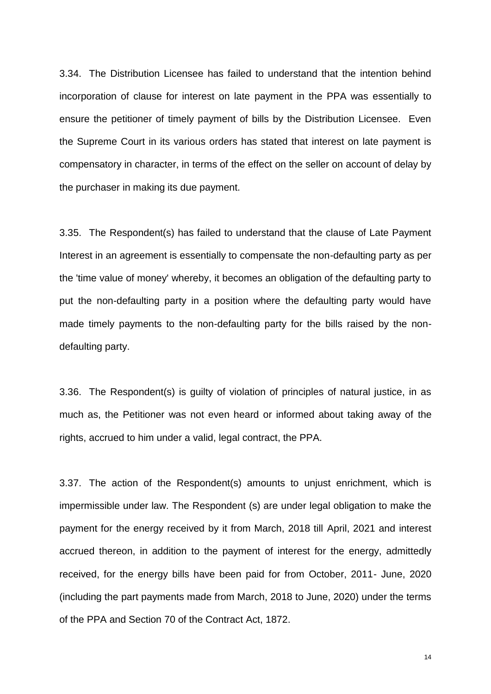3.34. The Distribution Licensee has failed to understand that the intention behind incorporation of clause for interest on late payment in the PPA was essentially to ensure the petitioner of timely payment of bills by the Distribution Licensee. Even the Supreme Court in its various orders has stated that interest on late payment is compensatory in character, in terms of the effect on the seller on account of delay by the purchaser in making its due payment.

3.35. The Respondent(s) has failed to understand that the clause of Late Payment Interest in an agreement is essentially to compensate the non-defaulting party as per the 'time value of money' whereby, it becomes an obligation of the defaulting party to put the non-defaulting party in a position where the defaulting party would have made timely payments to the non-defaulting party for the bills raised by the nondefaulting party.

3.36. The Respondent(s) is guilty of violation of principles of natural justice, in as much as, the Petitioner was not even heard or informed about taking away of the rights, accrued to him under a valid, legal contract, the PPA.

3.37. The action of the Respondent(s) amounts to unjust enrichment, which is impermissible under law. The Respondent (s) are under legal obligation to make the payment for the energy received by it from March, 2018 till April, 2021 and interest accrued thereon, in addition to the payment of interest for the energy, admittedly received, for the energy bills have been paid for from October, 2011- June, 2020 (including the part payments made from March, 2018 to June, 2020) under the terms of the PPA and Section 70 of the Contract Act, 1872.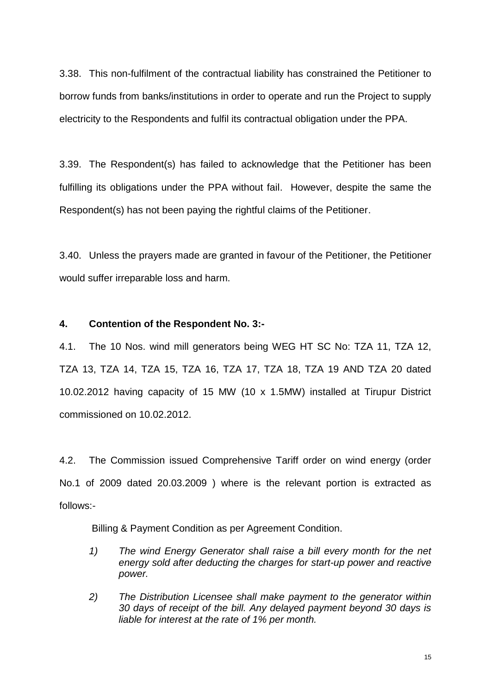3.38. This non-fulfilment of the contractual liability has constrained the Petitioner to borrow funds from banks/institutions in order to operate and run the Project to supply electricity to the Respondents and fulfil its contractual obligation under the PPA.

3.39. The Respondent(s) has failed to acknowledge that the Petitioner has been fulfilling its obligations under the PPA without fail. However, despite the same the Respondent(s) has not been paying the rightful claims of the Petitioner.

3.40. Unless the prayers made are granted in favour of the Petitioner, the Petitioner would suffer irreparable loss and harm.

## **4. Contention of the Respondent No. 3:-**

4.1. The 10 Nos. wind mill generators being WEG HT SC No: TZA 11, TZA 12, TZA 13, TZA 14, TZA 15, TZA 16, TZA 17, TZA 18, TZA 19 AND TZA 20 dated 10.02.2012 having capacity of 15 MW (10 x 1.5MW) installed at Tirupur District commissioned on 10.02.2012.

4.2. The Commission issued Comprehensive Tariff order on wind energy (order No.1 of 2009 dated 20.03.2009 ) where is the relevant portion is extracted as follows:-

Billing & Payment Condition as per Agreement Condition.

- *1) The wind Energy Generator shall raise a bill every month for the net energy sold after deducting the charges for start-up power and reactive power.*
- *2) The Distribution Licensee shall make payment to the generator within 30 days of receipt of the bill. Any delayed payment beyond 30 days is liable for interest at the rate of 1% per month.*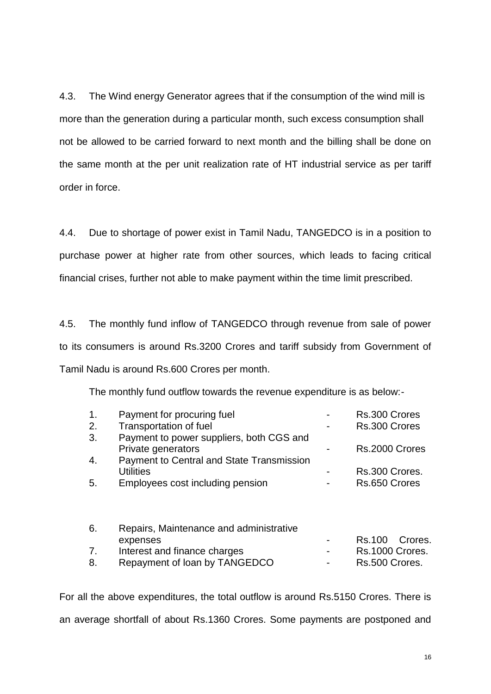4.3. The Wind energy Generator agrees that if the consumption of the wind mill is more than the generation during a particular month, such excess consumption shall not be allowed to be carried forward to next month and the billing shall be done on the same month at the per unit realization rate of HT industrial service as per tariff order in force.

4.4. Due to shortage of power exist in Tamil Nadu, TANGEDCO is in a position to purchase power at higher rate from other sources, which leads to facing critical financial crises, further not able to make payment within the time limit prescribed.

4.5. The monthly fund inflow of TANGEDCO through revenue from sale of power to its consumers is around Rs.3200 Crores and tariff subsidy from Government of Tamil Nadu is around Rs.600 Crores per month.

The monthly fund outflow towards the revenue expenditure is as below:-

| $\mathbf 1$ . | Payment for procuring fuel                       | Rs.300 Crores     |
|---------------|--------------------------------------------------|-------------------|
| 2.            | <b>Transportation of fuel</b>                    | Rs.300 Crores     |
| 3.            | Payment to power suppliers, both CGS and         |                   |
|               | Private generators                               | Rs.2000 Crores    |
| 4.            | <b>Payment to Central and State Transmission</b> |                   |
|               | <b>Utilities</b>                                 | Rs.300 Crores.    |
| 5.            | Employees cost including pension                 | Rs.650 Crores     |
|               |                                                  |                   |
| 6.            | Repairs, Maintenance and administrative          |                   |
|               | expenses                                         | Rs.100<br>Crores. |
| 7.            | Interest and finance charges                     | Rs.1000 Crores.   |
| 8.            | Repayment of loan by TANGEDCO                    | Rs.500 Crores.    |

For all the above expenditures, the total outflow is around Rs.5150 Crores. There is an average shortfall of about Rs.1360 Crores. Some payments are postponed and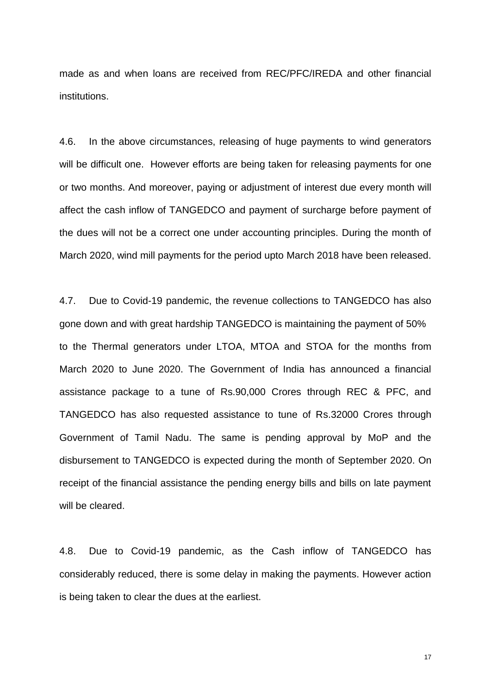made as and when loans are received from REC/PFC/IREDA and other financial institutions.

4.6. In the above circumstances, releasing of huge payments to wind generators will be difficult one. However efforts are being taken for releasing payments for one or two months. And moreover, paying or adjustment of interest due every month will affect the cash inflow of TANGEDCO and payment of surcharge before payment of the dues will not be a correct one under accounting principles. During the month of March 2020, wind mill payments for the period upto March 2018 have been released.

4.7. Due to Covid-19 pandemic, the revenue collections to TANGEDCO has also gone down and with great hardship TANGEDCO is maintaining the payment of 50% to the Thermal generators under LTOA, MTOA and STOA for the months from March 2020 to June 2020. The Government of India has announced a financial assistance package to a tune of Rs.90,000 Crores through REC & PFC, and TANGEDCO has also requested assistance to tune of Rs.32000 Crores through Government of Tamil Nadu. The same is pending approval by MoP and the disbursement to TANGEDCO is expected during the month of September 2020. On receipt of the financial assistance the pending energy bills and bills on late payment will be cleared.

4.8. Due to Covid-19 pandemic, as the Cash inflow of TANGEDCO has considerably reduced, there is some delay in making the payments. However action is being taken to clear the dues at the earliest.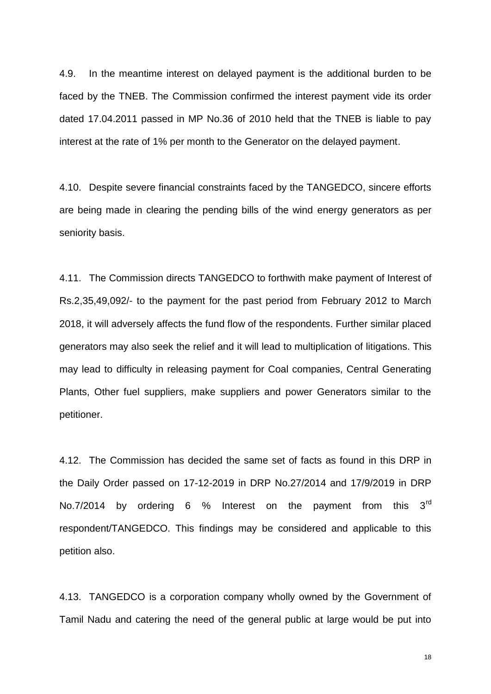4.9. In the meantime interest on delayed payment is the additional burden to be faced by the TNEB. The Commission confirmed the interest payment vide its order dated 17.04.2011 passed in MP No.36 of 2010 held that the TNEB is liable to pay interest at the rate of 1% per month to the Generator on the delayed payment.

4.10. Despite severe financial constraints faced by the TANGEDCO, sincere efforts are being made in clearing the pending bills of the wind energy generators as per seniority basis.

4.11. The Commission directs TANGEDCO to forthwith make payment of Interest of Rs.2,35,49,092/- to the payment for the past period from February 2012 to March 2018, it will adversely affects the fund flow of the respondents. Further similar placed generators may also seek the relief and it will lead to multiplication of litigations. This may lead to difficulty in releasing payment for Coal companies, Central Generating Plants, Other fuel suppliers, make suppliers and power Generators similar to the petitioner.

4.12. The Commission has decided the same set of facts as found in this DRP in the Daily Order passed on 17-12-2019 in DRP No.27/2014 and 17/9/2019 in DRP No.7/2014 by ordering 6 % Interest on the payment from this  $3<sup>rd</sup>$ respondent/TANGEDCO. This findings may be considered and applicable to this petition also.

4.13. TANGEDCO is a corporation company wholly owned by the Government of Tamil Nadu and catering the need of the general public at large would be put into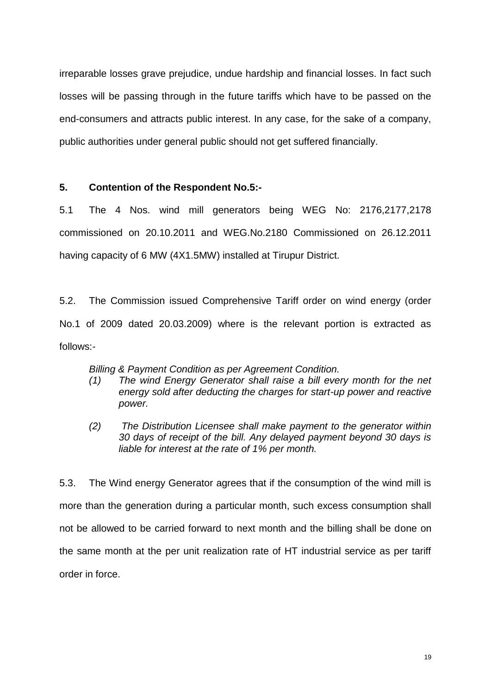irreparable losses grave prejudice, undue hardship and financial losses. In fact such losses will be passing through in the future tariffs which have to be passed on the end-consumers and attracts public interest. In any case, for the sake of a company, public authorities under general public should not get suffered financially.

## **5. Contention of the Respondent No.5:-**

5.1 The 4 Nos. wind mill generators being WEG No: 2176,2177,2178 commissioned on 20.10.2011 and WEG.No.2180 Commissioned on 26.12.2011 having capacity of 6 MW (4X1.5MW) installed at Tirupur District.

5.2. The Commission issued Comprehensive Tariff order on wind energy (order No.1 of 2009 dated 20.03.2009) where is the relevant portion is extracted as follows:-

*Billing & Payment Condition as per Agreement Condition.* 

- *(1) The wind Energy Generator shall raise a bill every month for the net energy sold after deducting the charges for start-up power and reactive power.*
- *(2) The Distribution Licensee shall make payment to the generator within 30 days of receipt of the bill. Any delayed payment beyond 30 days is liable for interest at the rate of 1% per month.*

5.3. The Wind energy Generator agrees that if the consumption of the wind mill is more than the generation during a particular month, such excess consumption shall not be allowed to be carried forward to next month and the billing shall be done on the same month at the per unit realization rate of HT industrial service as per tariff order in force.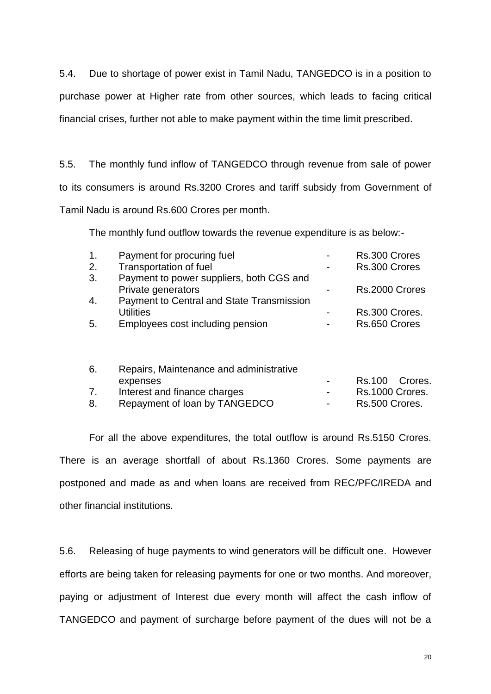5.4. Due to shortage of power exist in Tamil Nadu, TANGEDCO is in a position to purchase power at Higher rate from other sources, which leads to facing critical financial crises, further not able to make payment within the time limit prescribed.

5.5. The monthly fund inflow of TANGEDCO through revenue from sale of power to its consumers is around Rs.3200 Crores and tariff subsidy from Government of Tamil Nadu is around Rs.600 Crores per month.

The monthly fund outflow towards the revenue expenditure is as below:-

| 1 <sub>1</sub> | Payment for procuring fuel                                     | $\blacksquare$ | Rs.300 Crores  |
|----------------|----------------------------------------------------------------|----------------|----------------|
| 2.             | Transportation of fuel                                         | $\blacksquare$ | Rs.300 Crores  |
| 3.             | Payment to power suppliers, both CGS and<br>Private generators |                | Rs.2000 Crores |
| 4.             | Payment to Central and State Transmission<br><b>Utilities</b>  |                | Rs.300 Crores. |
| 5.             | Employees cost including pension                               |                | Rs.650 Crores  |
|                |                                                                |                |                |

| 6. | Repairs, Maintenance and administrative |                  |                 |
|----|-----------------------------------------|------------------|-----------------|
|    | expenses                                |                  | Rs.100 Crores.  |
| 7. | Interest and finance charges            | $\sim$ 100 $\mu$ | Rs.1000 Crores. |
| 8. | Repayment of loan by TANGEDCO           |                  | Rs.500 Crores.  |

For all the above expenditures, the total outflow is around Rs.5150 Crores. There is an average shortfall of about Rs.1360 Crores. Some payments are postponed and made as and when loans are received from REC/PFC/IREDA and other financial institutions.

5.6. Releasing of huge payments to wind generators will be difficult one. However efforts are being taken for releasing payments for one or two months. And moreover, paying or adjustment of Interest due every month will affect the cash inflow of TANGEDCO and payment of surcharge before payment of the dues will not be a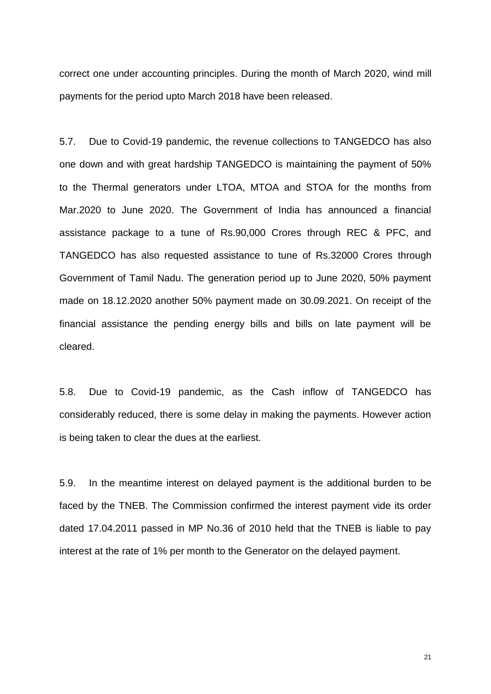correct one under accounting principles. During the month of March 2020, wind mill payments for the period upto March 2018 have been released.

5.7. Due to Covid-19 pandemic, the revenue collections to TANGEDCO has also one down and with great hardship TANGEDCO is maintaining the payment of 50% to the Thermal generators under LTOA, MTOA and STOA for the months from Mar.2020 to June 2020. The Government of India has announced a financial assistance package to a tune of Rs.90,000 Crores through REC & PFC, and TANGEDCO has also requested assistance to tune of Rs.32000 Crores through Government of Tamil Nadu. The generation period up to June 2020, 50% payment made on 18.12.2020 another 50% payment made on 30.09.2021. On receipt of the financial assistance the pending energy bills and bills on late payment will be cleared.

5.8. Due to Covid-19 pandemic, as the Cash inflow of TANGEDCO has considerably reduced, there is some delay in making the payments. However action is being taken to clear the dues at the earliest.

5.9. In the meantime interest on delayed payment is the additional burden to be faced by the TNEB. The Commission confirmed the interest payment vide its order dated 17.04.2011 passed in MP No.36 of 2010 held that the TNEB is liable to pay interest at the rate of 1% per month to the Generator on the delayed payment.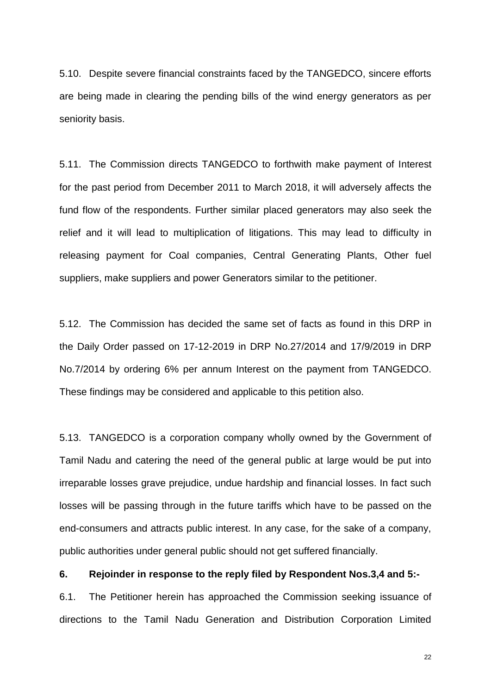5.10. Despite severe financial constraints faced by the TANGEDCO, sincere efforts are being made in clearing the pending bills of the wind energy generators as per seniority basis.

5.11. The Commission directs TANGEDCO to forthwith make payment of Interest for the past period from December 2011 to March 2018, it will adversely affects the fund flow of the respondents. Further similar placed generators may also seek the relief and it will lead to multiplication of litigations. This may lead to difficulty in releasing payment for Coal companies, Central Generating Plants, Other fuel suppliers, make suppliers and power Generators similar to the petitioner.

5.12. The Commission has decided the same set of facts as found in this DRP in the Daily Order passed on 17-12-2019 in DRP No.27/2014 and 17/9/2019 in DRP No.7/2014 by ordering 6% per annum Interest on the payment from TANGEDCO. These findings may be considered and applicable to this petition also.

5.13. TANGEDCO is a corporation company wholly owned by the Government of Tamil Nadu and catering the need of the general public at large would be put into irreparable losses grave prejudice, undue hardship and financial losses. In fact such losses will be passing through in the future tariffs which have to be passed on the end-consumers and attracts public interest. In any case, for the sake of a company, public authorities under general public should not get suffered financially.

**6. Rejoinder in response to the reply filed by Respondent Nos.3,4 and 5:-**

6.1. The Petitioner herein has approached the Commission seeking issuance of directions to the Tamil Nadu Generation and Distribution Corporation Limited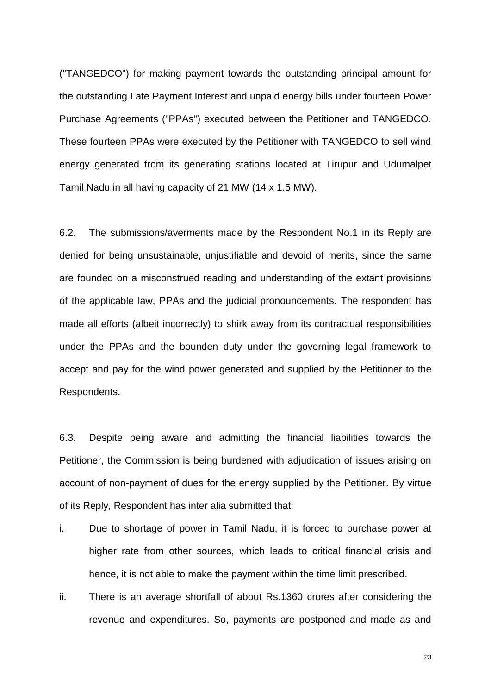("TANGEDCO") for making payment towards the outstanding principal amount for the outstanding Late Payment Interest and unpaid energy bills under fourteen Power Purchase Agreements ("PPAs") executed between the Petitioner and TANGEDCO. These fourteen PPAs were executed by the Petitioner with TANGEDCO to sell wind energy generated from its generating stations located at Tirupur and Udumalpet Tamil Nadu in all having capacity of 21 MW (14 x 1.5 MW).

6.2. The submissions/averments made by the Respondent No.1 in its Reply are denied for being unsustainable, unjustifiable and devoid of merits, since the same are founded on a misconstrued reading and understanding of the extant provisions of the applicable law, PPAs and the judicial pronouncements. The respondent has made all efforts (albeit incorrectly) to shirk away from its contractual responsibilities under the PPAs and the bounden duty under the governing legal framework to accept and pay for the wind power generated and supplied by the Petitioner to the Respondents.

6.3. Despite being aware and admitting the financial liabilities towards the Petitioner, the Commission is being burdened with adjudication of issues arising on account of non-payment of dues for the energy supplied by the Petitioner. By virtue of its Reply, Respondent has inter alia submitted that:

- i. Due to shortage of power in Tamil Nadu, it is forced to purchase power at higher rate from other sources, which leads to critical financial crisis and hence, it is not able to make the payment within the time limit prescribed.
- ii. There is an average shortfall of about Rs.1360 crores after considering the revenue and expenditures. So, payments are postponed and made as and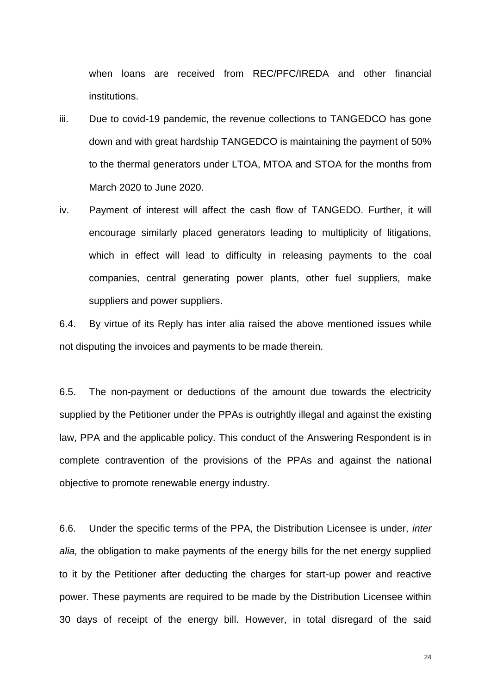when loans are received from REC/PFC/IREDA and other financial institutions.

- iii. Due to covid-19 pandemic, the revenue collections to TANGEDCO has gone down and with great hardship TANGEDCO is maintaining the payment of 50% to the thermal generators under LTOA, MTOA and STOA for the months from March 2020 to June 2020.
- iv. Payment of interest will affect the cash flow of TANGEDO. Further, it will encourage similarly placed generators leading to multiplicity of litigations, which in effect will lead to difficulty in releasing payments to the coal companies, central generating power plants, other fuel suppliers, make suppliers and power suppliers.

6.4. By virtue of its Reply has inter alia raised the above mentioned issues while not disputing the invoices and payments to be made therein.

6.5. The non-payment or deductions of the amount due towards the electricity supplied by the Petitioner under the PPAs is outrightly illegal and against the existing law, PPA and the applicable policy. This conduct of the Answering Respondent is in complete contravention of the provisions of the PPAs and against the national objective to promote renewable energy industry.

6.6. Under the specific terms of the PPA, the Distribution Licensee is under, *inter alia,* the obligation to make payments of the energy bills for the net energy supplied to it by the Petitioner after deducting the charges for start-up power and reactive power. These payments are required to be made by the Distribution Licensee within 30 days of receipt of the energy bill. However, in total disregard of the said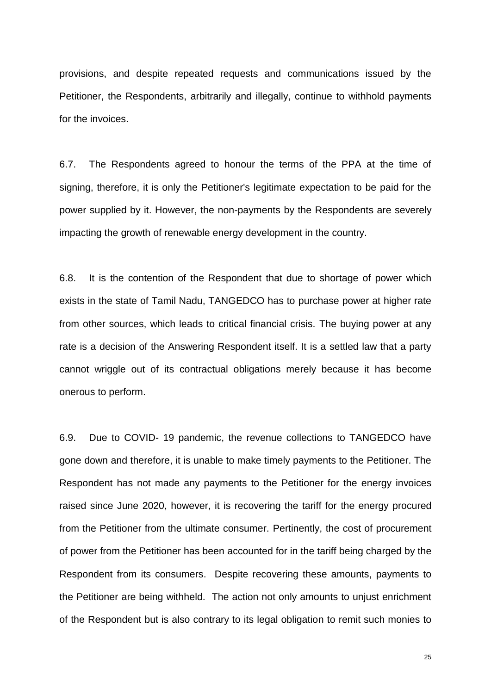provisions, and despite repeated requests and communications issued by the Petitioner, the Respondents, arbitrarily and illegally, continue to withhold payments for the invoices.

6.7. The Respondents agreed to honour the terms of the PPA at the time of signing, therefore, it is only the Petitioner's legitimate expectation to be paid for the power supplied by it. However, the non-payments by the Respondents are severely impacting the growth of renewable energy development in the country.

6.8. It is the contention of the Respondent that due to shortage of power which exists in the state of Tamil Nadu, TANGEDCO has to purchase power at higher rate from other sources, which leads to critical financial crisis. The buying power at any rate is a decision of the Answering Respondent itself. It is a settled law that a party cannot wriggle out of its contractual obligations merely because it has become onerous to perform.

6.9. Due to COVID- 19 pandemic, the revenue collections to TANGEDCO have gone down and therefore, it is unable to make timely payments to the Petitioner. The Respondent has not made any payments to the Petitioner for the energy invoices raised since June 2020, however, it is recovering the tariff for the energy procured from the Petitioner from the ultimate consumer. Pertinently, the cost of procurement of power from the Petitioner has been accounted for in the tariff being charged by the Respondent from its consumers. Despite recovering these amounts, payments to the Petitioner are being withheld. The action not only amounts to unjust enrichment of the Respondent but is also contrary to its legal obligation to remit such monies to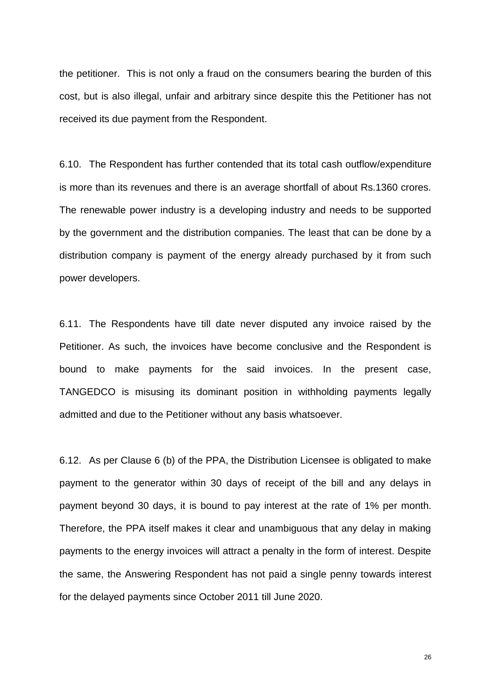the petitioner. This is not only a fraud on the consumers bearing the burden of this cost, but is also illegal, unfair and arbitrary since despite this the Petitioner has not received its due payment from the Respondent.

6.10. The Respondent has further contended that its total cash outflow/expenditure is more than its revenues and there is an average shortfall of about Rs.1360 crores. The renewable power industry is a developing industry and needs to be supported by the government and the distribution companies. The least that can be done by a distribution company is payment of the energy already purchased by it from such power developers.

6.11. The Respondents have till date never disputed any invoice raised by the Petitioner. As such, the invoices have become conclusive and the Respondent is bound to make payments for the said invoices. In the present case, TANGEDCO is misusing its dominant position in withholding payments legally admitted and due to the Petitioner without any basis whatsoever.

6.12. As per Clause 6 (b) of the PPA, the Distribution Licensee is obligated to make payment to the generator within 30 days of receipt of the bill and any delays in payment beyond 30 days, it is bound to pay interest at the rate of 1% per month. Therefore, the PPA itself makes it clear and unambiguous that any delay in making payments to the energy invoices will attract a penalty in the form of interest. Despite the same, the Answering Respondent has not paid a single penny towards interest for the delayed payments since October 2011 till June 2020.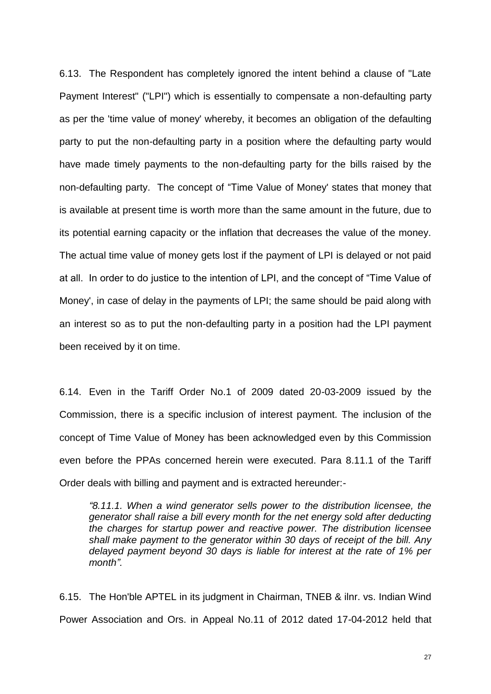6.13. The Respondent has completely ignored the intent behind a clause of "Late Payment Interest" ("LPI") which is essentially to compensate a non-defaulting party as per the 'time value of money' whereby, it becomes an obligation of the defaulting party to put the non-defaulting party in a position where the defaulting party would have made timely payments to the non-defaulting party for the bills raised by the non-defaulting party. The concept of "Time Value of Money' states that money that is available at present time is worth more than the same amount in the future, due to its potential earning capacity or the inflation that decreases the value of the money. The actual time value of money gets lost if the payment of LPI is delayed or not paid at all. In order to do justice to the intention of LPI, and the concept of "Time Value of Money', in case of delay in the payments of LPI; the same should be paid along with an interest so as to put the non-defaulting party in a position had the LPI payment been received by it on time.

6.14. Even in the Tariff Order No.1 of 2009 dated 20-03-2009 issued by the Commission, there is a specific inclusion of interest payment. The inclusion of the concept of Time Value of Money has been acknowledged even by this Commission even before the PPAs concerned herein were executed. Para 8.11.1 of the Tariff Order deals with billing and payment and is extracted hereunder:-

*"8.11.1. When a wind generator sells power to the distribution licensee, the generator shall raise a bill every month for the net energy sold after deducting the charges for startup power and reactive power. The distribution licensee shall make payment to the generator within 30 days of receipt of the bill. Any delayed payment beyond 30 days is liable for interest at the rate of 1% per month".*

6.15. The Hon'ble APTEL in its judgment in Chairman, TNEB & ilnr. vs. Indian Wind Power Association and Ors. in Appeal No.11 of 2012 dated 17-04-2012 held that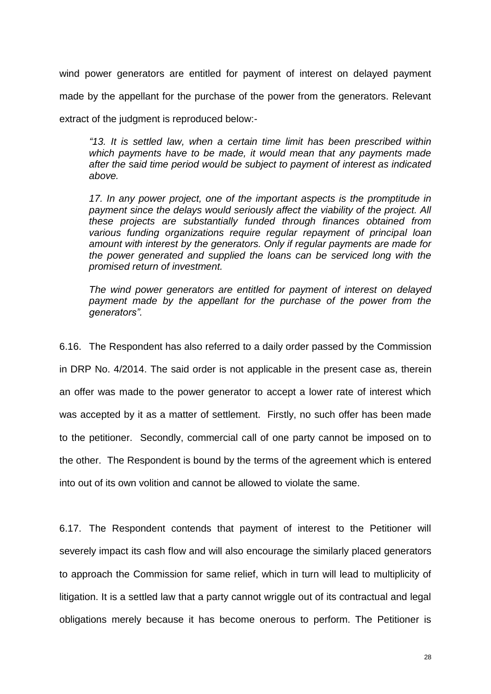wind power generators are entitled for payment of interest on delayed payment made by the appellant for the purchase of the power from the generators. Relevant extract of the judgment is reproduced below:-

*"13. It is settled law, when a certain time limit has been prescribed within which payments have to be made, it would mean that any payments made after the said time period would be subject to payment of interest as indicated above.* 

*17. In any power project, one of the important aspects is the promptitude in payment since the delays would seriously affect the viability of the project. All these projects are substantially funded through finances obtained from various funding organizations require regular repayment of principal loan amount with interest by the generators. Only if regular payments are made for the power generated and supplied the loans can be serviced long with the promised return of investment.* 

*The wind power generators are entitled for payment of interest on delayed payment made by the appellant for the purchase of the power from the generators".*

6.16. The Respondent has also referred to a daily order passed by the Commission in DRP No. 4/2014. The said order is not applicable in the present case as, therein an offer was made to the power generator to accept a lower rate of interest which was accepted by it as a matter of settlement. Firstly, no such offer has been made to the petitioner. Secondly, commercial call of one party cannot be imposed on to the other. The Respondent is bound by the terms of the agreement which is entered into out of its own volition and cannot be allowed to violate the same.

6.17. The Respondent contends that payment of interest to the Petitioner will severely impact its cash flow and will also encourage the similarly placed generators to approach the Commission for same relief, which in turn will lead to multiplicity of litigation. It is a settled law that a party cannot wriggle out of its contractual and legal obligations merely because it has become onerous to perform. The Petitioner is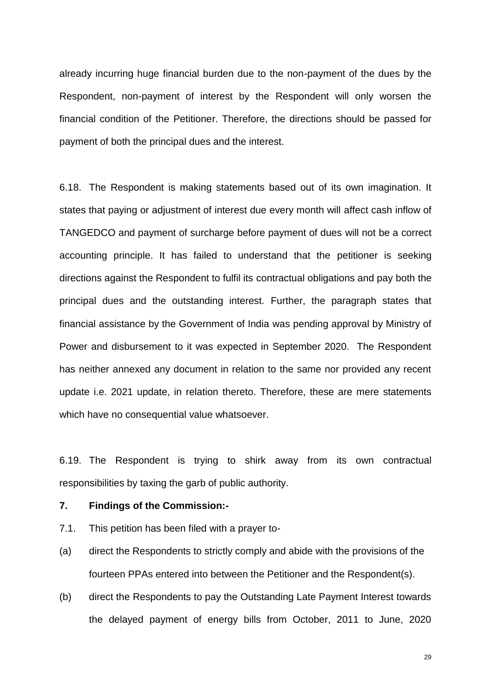already incurring huge financial burden due to the non-payment of the dues by the Respondent, non-payment of interest by the Respondent will only worsen the financial condition of the Petitioner. Therefore, the directions should be passed for payment of both the principal dues and the interest.

6.18. The Respondent is making statements based out of its own imagination. It states that paying or adjustment of interest due every month will affect cash inflow of TANGEDCO and payment of surcharge before payment of dues will not be a correct accounting principle. It has failed to understand that the petitioner is seeking directions against the Respondent to fulfil its contractual obligations and pay both the principal dues and the outstanding interest. Further, the paragraph states that financial assistance by the Government of India was pending approval by Ministry of Power and disbursement to it was expected in September 2020. The Respondent has neither annexed any document in relation to the same nor provided any recent update i.e. 2021 update, in relation thereto. Therefore, these are mere statements which have no consequential value whatsoever.

6.19. The Respondent is trying to shirk away from its own contractual responsibilities by taxing the garb of public authority.

#### **7. Findings of the Commission:-**

- 7.1. This petition has been filed with a prayer to-
- (a) direct the Respondents to strictly comply and abide with the provisions of the fourteen PPAs entered into between the Petitioner and the Respondent(s).
- (b) direct the Respondents to pay the Outstanding Late Payment Interest towards the delayed payment of energy bills from October, 2011 to June, 2020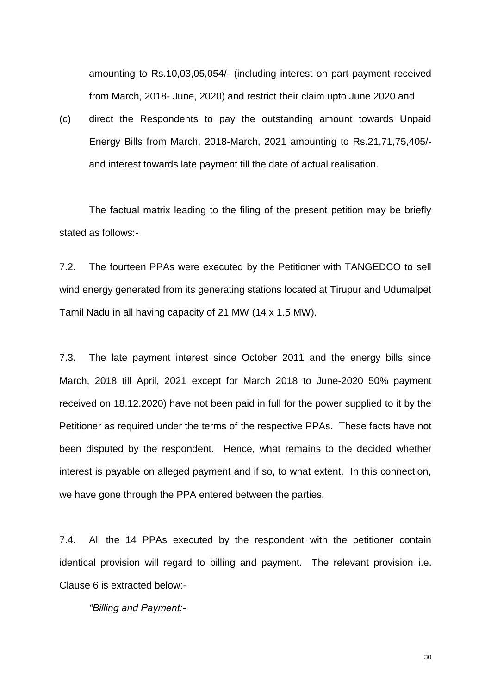amounting to Rs.10,03,05,054/- (including interest on part payment received from March, 2018- June, 2020) and restrict their claim upto June 2020 and

(c) direct the Respondents to pay the outstanding amount towards Unpaid Energy Bills from March, 2018-March, 2021 amounting to Rs.21,71,75,405/ and interest towards late payment till the date of actual realisation.

The factual matrix leading to the filing of the present petition may be briefly stated as follows:-

7.2. The fourteen PPAs were executed by the Petitioner with TANGEDCO to sell wind energy generated from its generating stations located at Tirupur and Udumalpet Tamil Nadu in all having capacity of 21 MW (14 x 1.5 MW).

7.3. The late payment interest since October 2011 and the energy bills since March, 2018 till April, 2021 except for March 2018 to June-2020 50% payment received on 18.12.2020) have not been paid in full for the power supplied to it by the Petitioner as required under the terms of the respective PPAs. These facts have not been disputed by the respondent. Hence, what remains to the decided whether interest is payable on alleged payment and if so, to what extent. In this connection, we have gone through the PPA entered between the parties.

7.4. All the 14 PPAs executed by the respondent with the petitioner contain identical provision will regard to billing and payment. The relevant provision i.e. Clause 6 is extracted below:-

*"Billing and Payment:-*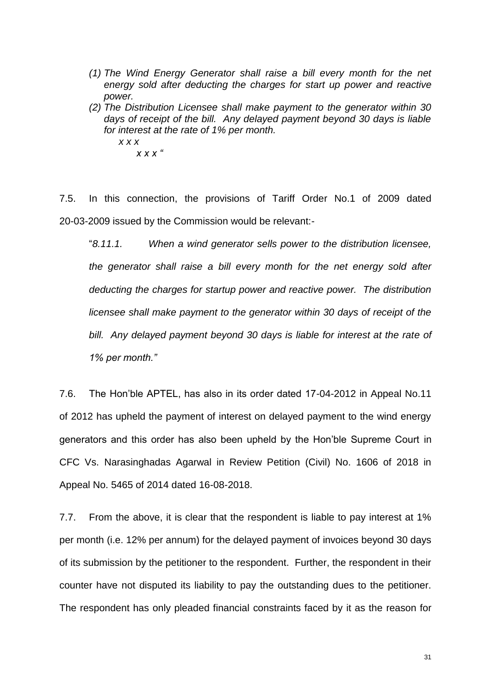- *(1) The Wind Energy Generator shall raise a bill every month for the net energy sold after deducting the charges for start up power and reactive power.*
- *(2) The Distribution Licensee shall make payment to the generator within 30 days of receipt of the bill. Any delayed payment beyond 30 days is liable for interest at the rate of 1% per month.*

*x x x x x x "*

7.5. In this connection, the provisions of Tariff Order No.1 of 2009 dated 20-03-2009 issued by the Commission would be relevant:-

"*8.11.1. When a wind generator sells power to the distribution licensee, the generator shall raise a bill every month for the net energy sold after deducting the charges for startup power and reactive power. The distribution licensee shall make payment to the generator within 30 days of receipt of the bill. Any delayed payment beyond 30 days is liable for interest at the rate of 1% per month."*

7.6. The Hon'ble APTEL, has also in its order dated 17-04-2012 in Appeal No.11 of 2012 has upheld the payment of interest on delayed payment to the wind energy generators and this order has also been upheld by the Hon'ble Supreme Court in CFC Vs. Narasinghadas Agarwal in Review Petition (Civil) No. 1606 of 2018 in Appeal No. 5465 of 2014 dated 16-08-2018.

7.7. From the above, it is clear that the respondent is liable to pay interest at 1% per month (i.e. 12% per annum) for the delayed payment of invoices beyond 30 days of its submission by the petitioner to the respondent. Further, the respondent in their counter have not disputed its liability to pay the outstanding dues to the petitioner. The respondent has only pleaded financial constraints faced by it as the reason for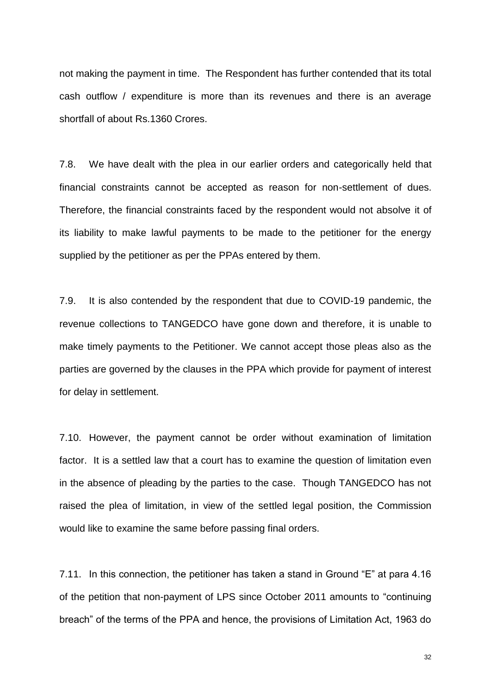not making the payment in time. The Respondent has further contended that its total cash outflow / expenditure is more than its revenues and there is an average shortfall of about Rs.1360 Crores.

7.8. We have dealt with the plea in our earlier orders and categorically held that financial constraints cannot be accepted as reason for non-settlement of dues. Therefore, the financial constraints faced by the respondent would not absolve it of its liability to make lawful payments to be made to the petitioner for the energy supplied by the petitioner as per the PPAs entered by them.

7.9. It is also contended by the respondent that due to COVID-19 pandemic, the revenue collections to TANGEDCO have gone down and therefore, it is unable to make timely payments to the Petitioner. We cannot accept those pleas also as the parties are governed by the clauses in the PPA which provide for payment of interest for delay in settlement.

7.10. However, the payment cannot be order without examination of limitation factor. It is a settled law that a court has to examine the question of limitation even in the absence of pleading by the parties to the case. Though TANGEDCO has not raised the plea of limitation, in view of the settled legal position, the Commission would like to examine the same before passing final orders.

7.11. In this connection, the petitioner has taken a stand in Ground "E" at para 4.16 of the petition that non-payment of LPS since October 2011 amounts to "continuing breach" of the terms of the PPA and hence, the provisions of Limitation Act, 1963 do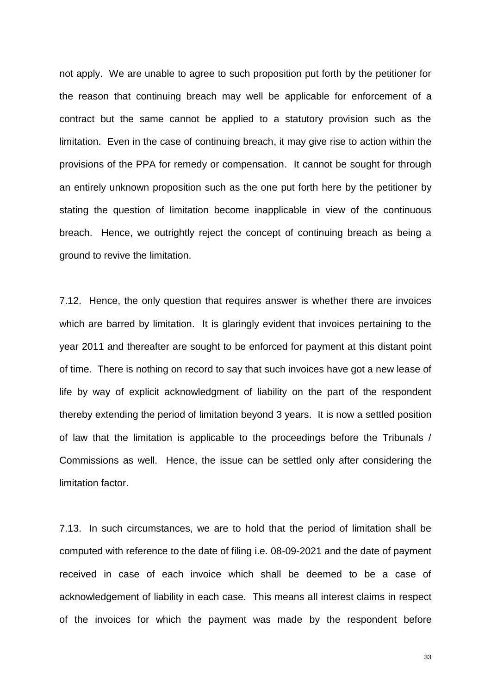not apply. We are unable to agree to such proposition put forth by the petitioner for the reason that continuing breach may well be applicable for enforcement of a contract but the same cannot be applied to a statutory provision such as the limitation. Even in the case of continuing breach, it may give rise to action within the provisions of the PPA for remedy or compensation. It cannot be sought for through an entirely unknown proposition such as the one put forth here by the petitioner by stating the question of limitation become inapplicable in view of the continuous breach. Hence, we outrightly reject the concept of continuing breach as being a ground to revive the limitation.

7.12. Hence, the only question that requires answer is whether there are invoices which are barred by limitation. It is glaringly evident that invoices pertaining to the year 2011 and thereafter are sought to be enforced for payment at this distant point of time. There is nothing on record to say that such invoices have got a new lease of life by way of explicit acknowledgment of liability on the part of the respondent thereby extending the period of limitation beyond 3 years. It is now a settled position of law that the limitation is applicable to the proceedings before the Tribunals / Commissions as well. Hence, the issue can be settled only after considering the limitation factor.

7.13. In such circumstances, we are to hold that the period of limitation shall be computed with reference to the date of filing i.e. 08-09-2021 and the date of payment received in case of each invoice which shall be deemed to be a case of acknowledgement of liability in each case. This means all interest claims in respect of the invoices for which the payment was made by the respondent before